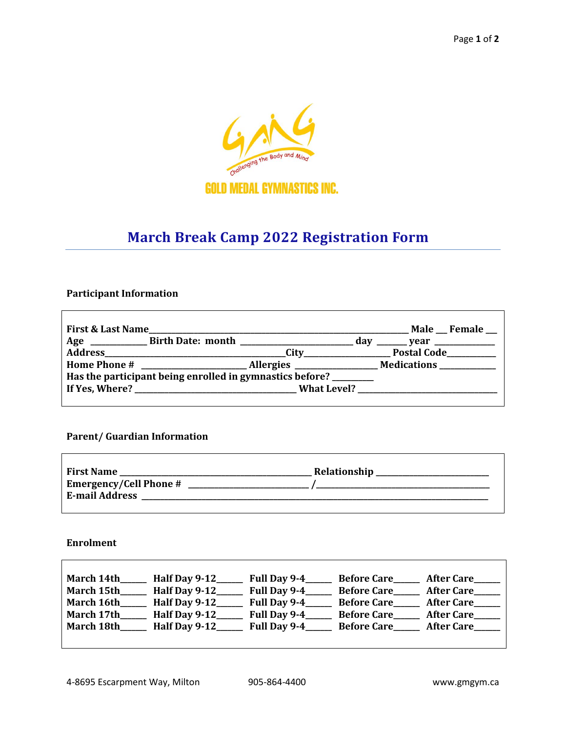

# **March Break Camp 2022 Registration Form**

## **Participant Information**

| <b>First &amp; Last Name</b>                             |  |  | <b>Male Female</b> |  |
|----------------------------------------------------------|--|--|--------------------|--|
|                                                          |  |  |                    |  |
|                                                          |  |  | Postal Code        |  |
|                                                          |  |  |                    |  |
| Has the participant being enrolled in gymnastics before? |  |  |                    |  |
|                                                          |  |  |                    |  |
|                                                          |  |  |                    |  |

# **Parent/ Guardian Information**

| <b>First Name</b><br><b>Emergency/Cell Phone #</b> | Relationship |
|----------------------------------------------------|--------------|
| <b>E-mail Address</b>                              |              |

### **Enrolment**

 $\overline{1}$ 

| March 14th | Half Day 9-12 | Full Day 9-4 | <b>Before Care</b> | <b>After Care</b> |
|------------|---------------|--------------|--------------------|-------------------|
| March 15th | Half Day 9-12 | Full Day 9-4 | <b>Before Care</b> | <b>After Care</b> |
| March 16th | Half Day 9-12 | Full Day 9-4 | <b>Before Care</b> | <b>After Care</b> |
| March 17th | Half Day 9-12 | Full Day 9-4 | <b>Before Care</b> | <b>After Care</b> |
| March 18th | Half Day 9-12 | Full Day 9-4 | <b>Before Care</b> | <b>After Care</b> |
|            |               |              |                    |                   |